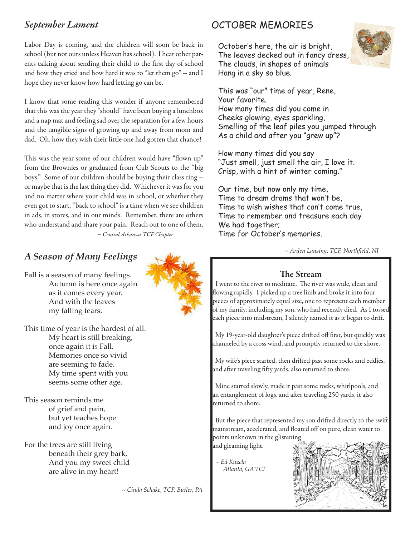## *September Lament*

Labor Day is coming, and the children will soon be back in school (but not ours unless Heaven has school). I hear other parents talking about sending their child to the first day of school and how they cried and how hard it was to "let them go" -- and I hope they never know how hard letting go can be.

I know that some reading this wonder if anyone remembered that this was the year they "should" have been buying a lunchbox and a nap mat and feeling sad over the separation for a few hours and the tangible signs of growing up and away from mom and dad. Oh, how they wish their little one had gotten that chance!

This was the year some of our children would have "flown up" from the Brownies or graduated from Cub Scouts to the "big boys." Some of our children should be buying their class ring - or maybe that is the last thing they did. Whichever it was for you and no matter where your child was in school, or whether they even got to start, "back to school" is a time when we see children in ads, in stores, and in our minds. Remember, there are others who understand and share your pain. Reach out to one of them. *~ Central Arkansas TCF Chapter*

# *A Season of Many Feelings*

Fall is a season of many feelings. Autumn is here once again as it comes every year. And with the leaves my falling tears.

This time of year is the hardest of all. My heart is still breaking, once again it is Fall. Memories once so vivid are seeming to fade. My time spent with you seems some other age.

This season reminds me of grief and pain, but yet teaches hope and joy once again.

For the trees are still living beneath their grey bark, And you my sweet child are alive in my heart!

*~ Cinda Schake, TCF, Butler, PA*

# OCTOBER MEMORIES

 October's here, the air is bright, The leaves decked out in fancy dress, The clouds, in shapes of animals Hang in a sky so blue.



 This was "our" time of year, Rene, Your favorite. How many times did you come in Cheeks glowing, eyes sparkling, Smelling of the leaf piles you jumped through As a child and after you "grew up"?

 How many times did you say "Just smell, just smell the air, I love it. Crisp, with a hint of winter coming."

 Our time, but now only my time, Time to dream drams that won't be, Time to wish wishes that can't come true, Time to remember and treasure each day We had together; Time for October's memories.

 *~ Arden Lansing, TCF, Northfield, NJ*

### The Stream

 I went to the river to meditate. The river was wide, clean and flowing rapidly. I picked up a tree limb and broke it into four pieces of approximately equal size, one to represent each member of my family, including my son, who had recently died. As I tossed each piece into midstream, I silently named it as it began to drift.

 My 19-year-old daughter's piece drifted off first, but quickly was channeled by a cross wind, and promptly returned to the shore.

 My wife's piece started, then drifted past some rocks and eddies, and after traveling fifty yards, also returned to shore.

 Mine started slowly, made it past some rocks, whirlpools, and an entanglement of logs, and after traveling 250 yards, it also returned to shore.

 But the piece that represented my son drifted directly to the swift mainstream, accelerated, and floated off on pure, clean water to points unknown in the glistening

 *~ Ed Kuzela Atlanta, GA TCF*

and gleaming light.